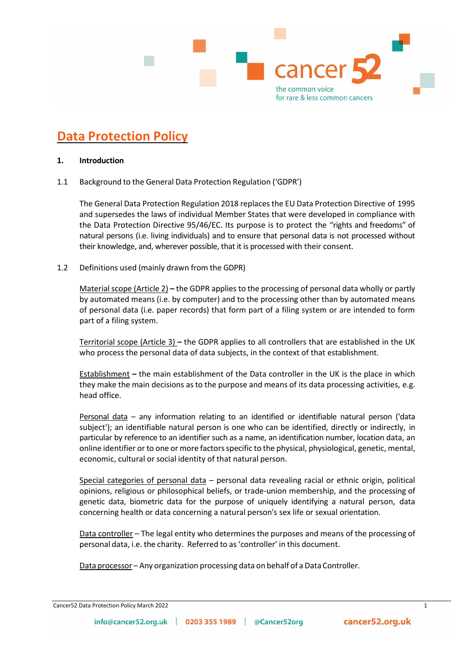

# **Data Protection Policy**

# **1. Introduction**

1.1 Background to the General Data Protection Regulation ('GDPR')

The General Data Protection Regulation 2018 replacesthe EU Data Protection Directive of 1995 and supersedes the laws of individual Member States that were developed in compliance with the Data Protection Directive 95/46/EC. Its purpose is to protect the "rights and freedoms" of natural persons (i.e. living individuals) and to ensure that personal data is not processed without their knowledge, and, wherever possible, that it is processed with their consent.

1.2 Definitions used (mainly drawn from the GDPR)

Material scope (Article 2) – the GDPR applies to the processing of personal data wholly or partly by automated means (i.e. by computer) and to the processing other than by automated means of personal data (i.e. paper records) that form part of a filing system or are intended to form part of a filing system.

Territorial scope (Article 3) **–** the GDPR applies to all controllers that are established in the UK who process the personal data of data subjects, in the context of that establishment.

Establishment **–** the main establishment of the Data controller in the UK is the place in which they make the main decisions asto the purpose and means of its data processing activities, e.g. head office.

Personal data – any information relating to an identified or identifiable natural person ('data subject'); an identifiable natural person is one who can be identified, directly or indirectly, in particular by reference to an identifier such as a name, an identification number, location data, an online identifier or to one or more factors specific to the physical, physiological, genetic, mental, economic, cultural or social identity of that natural person.

Special categories of personal data – personal data revealing racial or ethnic origin, political opinions, religious or philosophical beliefs, or trade-union membership, and the processing of genetic data, biometric data for the purpose of uniquely identifying a natural person, data concerning health or data concerning a natural person's sex life or sexual orientation.

Data controller – The legal entity who determines the purposes and means of the processing of personal data, i.e. the charity. Referred to as'controller' in this document.

Data processor – Any organization processing data on behalf of a Data Controller.

| Cancer 52 Data Protection Policy March 2022 |
|---------------------------------------------|
|---------------------------------------------|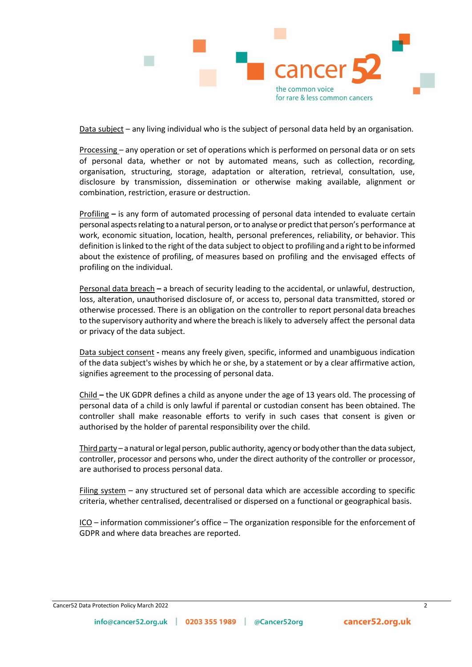

Data subject – any living individual who is the subject of personal data held by an organisation.

Processing – any operation or set of operations which is performed on personal data or on sets of personal data, whether or not by automated means, such as collection, recording, organisation, structuring, storage, adaptation or alteration, retrieval, consultation, use, disclosure by transmission, dissemination or otherwise making available, alignment or combination, restriction, erasure or destruction.

Profiling **–** is any form of automated processing of personal data intended to evaluate certain personal aspects relating to a natural person, or to analyse or predict that person's performance at work, economic situation, location, health, personal preferences, reliability, or behavior. This definition is linked to the right of the data subject to object to profiling and a right to be informed about the existence of profiling, of measures based on profiling and the envisaged effects of profiling on the individual.

Personal data breach **–** a breach of security leading to the accidental, or unlawful, destruction, loss, alteration, unauthorised disclosure of, or access to, personal data transmitted, stored or otherwise processed. There is an obligation on the controller to report personal data breaches to the supervisory authority and where the breach islikely to adversely affect the personal data or privacy of the data subject.

Data subject consent **-** means any freely given, specific, informed and unambiguous indication of the data subject's wishes by which he or she, by a statement or by a clear affirmative action, signifies agreement to the processing of personal data.

Child **–** the UK GDPR defines a child as anyone under the age of 13 years old. The processing of personal data of a child is only lawful if parental or custodian consent has been obtained. The controller shall make reasonable efforts to verify in such cases that consent is given or authorised by the holder of parental responsibility over the child.

Third party – a natural orlegal person, public authority, agency or body otherthan the data subject, controller, processor and persons who, under the direct authority of the controller or processor, are authorised to process personal data.

Filing system – any structured set of personal data which are accessible according to specific criteria, whether centralised, decentralised or dispersed on a functional or geographical basis.

ICO – information commissioner's office – The organization responsible for the enforcement of GDPR and where data breaches are reported.

#### Cancer52 Data Protection Policy March 2022 2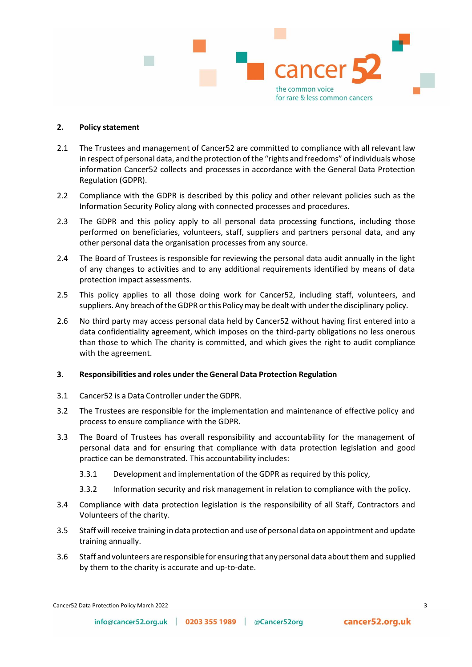

## **2. Policy statement**

- 2.1 The Trustees and management of Cancer 52 are committed to compliance with all relevant law in respect of personal data, and the protection of the "rights and freedoms" of individuals whose information Cancer52 collects and processes in accordance with the General Data Protection Regulation (GDPR).
- 2.2 Compliance with the GDPR is described by this policy and other relevant policies such as the Information Security Policy along with connected processes and procedures.
- 2.3 The GDPR and this policy apply to all personal data processing functions, including those performed on beneficiaries, volunteers, staff, suppliers and partners personal data, and any other personal data the organisation processes from any source.
- 2.4 The Board of Trustees is responsible for reviewing the personal data audit annually in the light of any changes to activities and to any additional requirements identified by means of data protection impact assessments.
- 2.5 This policy applies to all those doing work for Cancer52, including staff, volunteers, and suppliers. Any breach of the GDPR or this Policy may be dealt with under the disciplinary policy.
- 2.6 No third party may access personal data held by Cancer52 without having first entered into a data confidentiality agreement, which imposes on the third-party obligations no less onerous than those to which The charity is committed, and which gives the right to audit compliance with the agreement.

## **3. Responsibilities and roles under the General Data Protection Regulation**

- 3.1 Cancer52 is a Data Controller under the GDPR.
- 3.2 The Trustees are responsible for the implementation and maintenance of effective policy and process to ensure compliance with the GDPR.
- 3.3 The Board of Trustees has overall responsibility and accountability for the management of personal data and for ensuring that compliance with data protection legislation and good practice can be demonstrated. This accountability includes:
	- 3.3.1 Development and implementation of the GDPR as required by this policy,
	- 3.3.2 Information security and risk management in relation to compliance with the policy.
- 3.4 Compliance with data protection legislation is the responsibility of all Staff, Contractors and Volunteers of the charity.
- 3.5 Staff willreceive training in data protection and use of personal data on appointment and update training annually.
- 3.6 Staff and volunteers are responsible for ensuring that any personal data aboutthem and supplied by them to the charity is accurate and up-to-date.

**Cancer52 Data Protection Policy March 2022** 3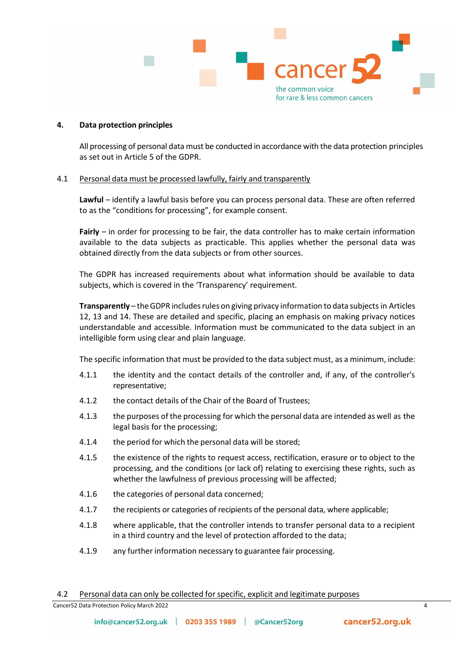

## **4. Data protection principles**

All processing of personal data must be conducted in accordance with the data protection principles as set out in Article 5 of the GDPR.

## 4.1 Personal data must be processed lawfully, fairly and transparently

**Lawful** – identify a lawful basis before you can process personal data. These are often referred to as the "conditions for processing", for example consent.

**Fairly** – in order for processing to be fair, the data controller has to make certain information available to the data subjects as practicable. This applies whether the personal data was obtained directly from the data subjects or from other sources.

The GDPR has increased requirements about what information should be available to data subjects, which is covered in the 'Transparency' requirement.

**Transparently** – the GDPR includes rules on giving privacy information to data subjects in Articles 12, 13 and 14. These are detailed and specific, placing an emphasis on making privacy notices understandable and accessible. Information must be communicated to the data subject in an intelligible form using clear and plain language.

The specific information that must be provided to the data subject must, as a minimum, include:

- 4.1.1 the identity and the contact details of the controller and, if any, of the controller's representative;
- 4.1.2 the contact details of the Chair of the Board of Trustees;
- 4.1.3 the purposes of the processing for which the personal data are intended as well as the legal basis for the processing;
- 4.1.4 the period for which the personal data will be stored;
- 4.1.5 the existence of the rights to request access, rectification, erasure or to object to the processing, and the conditions (or lack of) relating to exercising these rights, such as whether the lawfulness of previous processing will be affected;
- 4.1.6 the categories of personal data concerned;
- 4.1.7 the recipients or categories of recipients of the personal data, where applicable;
- 4.1.8 where applicable, that the controller intends to transfer personal data to a recipient in a third country and the level of protection afforded to the data;
- 4.1.9 any further information necessary to guarantee fair processing.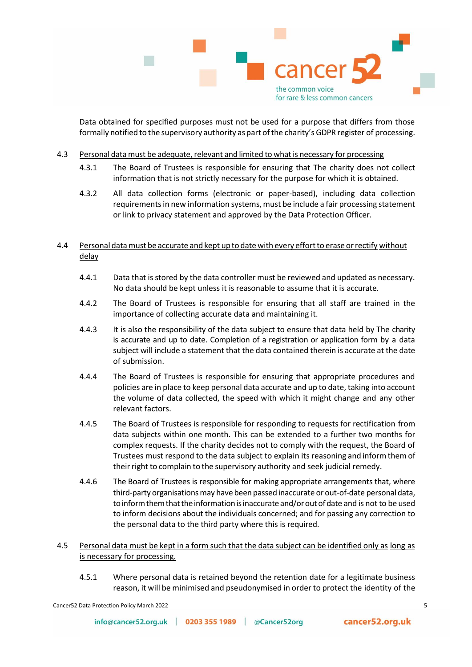

Data obtained for specified purposes must not be used for a purpose that differs from those formally notified to the supervisory authority as part ofthe charity's GDPR register of processing.

- 4.3 Personal data must be adequate, relevant and limited to what is necessary for processing
	- 4.3.1 The Board of Trustees is responsible for ensuring that The charity does not collect information that is not strictly necessary for the purpose for which it is obtained.
	- 4.3.2 All data collection forms (electronic or paper-based), including data collection requirements in new information systems, must be include a fair processing statement or link to privacy statement and approved by the Data Protection Officer.

# 4.4 Personal datamust be accurate and kept upto date with every effortto erase orrectify without delay

- 4.4.1 Data that is stored by the data controller must be reviewed and updated as necessary. No data should be kept unless it is reasonable to assume that it is accurate.
- 4.4.2 The Board of Trustees is responsible for ensuring that all staff are trained in the importance of collecting accurate data and maintaining it.
- 4.4.3 It is also the responsibility of the data subject to ensure that data held by The charity is accurate and up to date. Completion of a registration or application form by a data subject will include a statement that the data contained therein is accurate at the date of submission.
- 4.4.4 The Board of Trustees is responsible for ensuring that appropriate procedures and policies are in place to keep personal data accurate and up to date, taking into account the volume of data collected, the speed with which it might change and any other relevant factors.
- 4.4.5 The Board of Trustees is responsible for responding to requests for rectification from data subjects within one month. This can be extended to a further two months for complex requests. If the charity decides not to comply with the request, the Board of Trustees must respond to the data subject to explain its reasoning and informthem of their right to complain to the supervisory authority and seek judicial remedy.
- 4.4.6 The Board of Trustees is responsible for making appropriate arrangements that, where third-party organisationsmay have been passed inaccurate or out-of-date personaldata, to inform them that the information is inaccurate and/or out of date and is not to be used to inform decisions about the individuals concerned; and for passing any correction to the personal data to the third party where this is required.
- 4.5 Personal data must be kept in a form such that the data subject can be identified only as long as is necessary for processing.
	- 4.5.1 Where personal data is retained beyond the retention date for a legitimate business reason, it will be minimised and pseudonymised in order to protect the identity of the

Cancer52 Data Protection Policy March 2022 5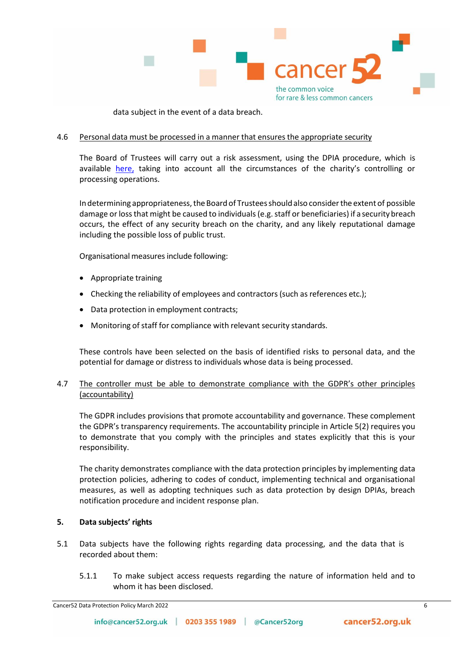

data subject in the event of a data breach.

# 4.6 Personal data must be processed in a manner that ensures the appropriate security

The Board of Trustees will carry out a risk assessment, using the DPIA procedure, which is available here, taking into account all the circumstances of the charity's controlling or processing operations.

In determining appropriateness, the Board of Trustees should also consider the extent of possible damage or lossthat might be caused to individuals (e.g. staff or beneficiaries) if a securitybreach occurs, the effect of any security breach on the charity, and any likely reputational damage including the possible loss of public trust.

Organisational measures include following:

- Appropriate training
- Checking the reliability of employees and contractors (such as references etc.);
- Data protection in employment contracts;
- Monitoring of staff for compliance with relevant security standards.

These controls have been selected on the basis of identified risks to personal data, and the potential for damage or distress to individuals whose data is being processed.

# 4.7 The controller must be able to demonstrate compliance with the GDPR's other principles (accountability)

The GDPR includes provisions that promote accountability and governance. These complement the GDPR's transparency requirements. The accountability principle in Article 5(2) requires you to demonstrate that you comply with the principles and states explicitly that this is your responsibility.

The charity demonstrates compliance with the data protection principles by implementing data protection policies, adhering to codes of conduct, implementing technical and organisational measures, as well as adopting techniques such as data protection by design DPIAs, breach notification procedure and incident response plan.

## **5. Data subjects' rights**

- 5.1 Data subjects have the following rights regarding data processing, and the data that is recorded about them:
	- 5.1.1 To make subject access requests regarding the nature of information held and to whom it has been disclosed.

Cancer52 Data Protection Policy March 2022 6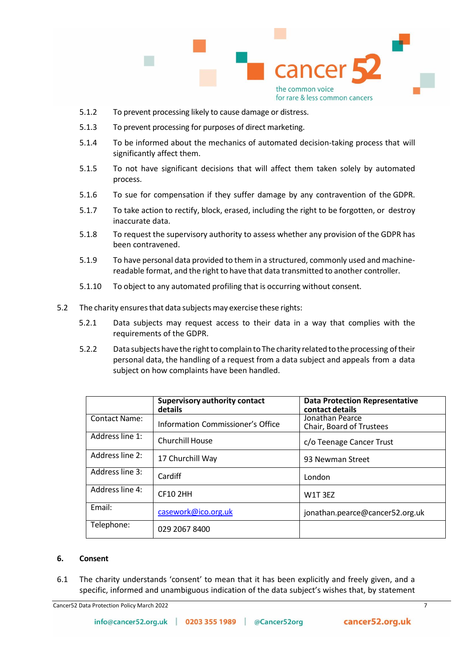

- 5.1.2 To prevent processing likely to cause damage or distress.
- 5.1.3 To prevent processing for purposes of direct marketing.
- 5.1.4 To be informed about the mechanics of automated decision-taking process that will significantly affect them.
- 5.1.5 To not have significant decisions that will affect them taken solely by automated process.
- 5.1.6 To sue for compensation if they suffer damage by any contravention of the GDPR.
- 5.1.7 To take action to rectify, block, erased, including the right to be forgotten, or destroy inaccurate data.
- 5.1.8 To request the supervisory authority to assess whether any provision of the GDPR has been contravened.
- 5.1.9 To have personal data provided to them in a structured, commonly used and machinereadable format, and the right to have that data transmitted to another controller.
- 5.1.10 To object to any automated profiling that is occurring without consent.
- 5.2 The charity ensures that data subjects may exercise these rights:
	- 5.2.1 Data subjects may request access to their data in a way that complies with the requirements of the GDPR.
	- 5.2.2 Data subjects have the right to complain to The charity related to the processing of their personal data, the handling of a request from a data subject and appeals from a data subject on how complaints have been handled.

|                      | <b>Supervisory authority contact</b><br>details | <b>Data Protection Representative</b><br>contact details |
|----------------------|-------------------------------------------------|----------------------------------------------------------|
| <b>Contact Name:</b> | Information Commissioner's Office               | Jonathan Pearce<br>Chair, Board of Trustees              |
| Address line 1:      | <b>Churchill House</b>                          | c/o Teenage Cancer Trust                                 |
| Address line 2:      | 17 Churchill Way                                | 93 Newman Street                                         |
| Address line 3:      | Cardiff                                         | London                                                   |
| Address line 4:      | <b>CF10 2HH</b>                                 | W1T3EZ                                                   |
| Email:               | casework@ico.org.uk                             | jonathan.pearce@cancer52.org.uk                          |
| Telephone:           | 029 2067 8400                                   |                                                          |

## **6. Consent**

6.1 The charity understands 'consent' to mean that it has been explicitly and freely given, and a specific, informed and unambiguous indication of the data subject's wishes that, by statement

**Cancer52 Data Protection Policy March 2022** 7 7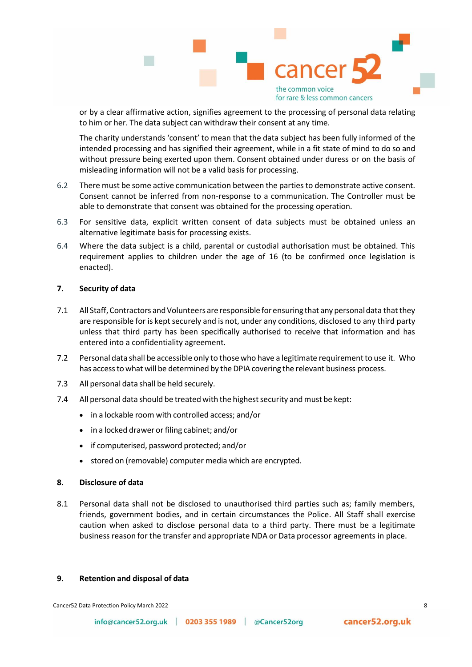

or by a clear affirmative action, signifies agreement to the processing of personal data relating to him or her. The data subject can withdraw their consent at any time.

The charity understands 'consent' to mean that the data subject has been fully informed of the intended processing and has signified their agreement, while in a fit state of mind to do so and without pressure being exerted upon them. Consent obtained under duress or on the basis of misleading information will not be a valid basis for processing.

- 6.2 There must be some active communication between the parties to demonstrate active consent. Consent cannot be inferred from non-response to a communication. The Controller must be able to demonstrate that consent was obtained for the processing operation.
- 6.3 For sensitive data, explicit written consent of data subjects must be obtained unless an alternative legitimate basis for processing exists.
- 6.4 Where the data subject is a child, parental or custodial authorisation must be obtained. This requirement applies to children under the age of 16 (to be confirmed once legislation is enacted).

## **7. Security of data**

- 7.1 All Staff, Contractors and Volunteers are responsible for ensuring that any personal data that they are responsible for is kept securely and is not, under any conditions, disclosed to any third party unless that third party has been specifically authorised to receive that information and has entered into a confidentiality agreement.
- 7.2 Personal data shall be accessible only to those who have a legitimate requirementto use it. Who has accessto what will be determined by the DPIA covering the relevant business process.
- 7.3 All personal data shall be held securely.
- 7.4 All personal data should be treated with the highest security and must be kept:
	- in a lockable room with controlled access; and/or
	- in a locked drawer or filing cabinet; and/or
	- if computerised, password protected; and/or
	- stored on (removable) computer media which are encrypted.

## **8. Disclosure of data**

8.1 Personal data shall not be disclosed to unauthorised third parties such as; family members, friends, government bodies, and in certain circumstances the Police. All Staff shall exercise caution when asked to disclose personal data to a third party. There must be a legitimate business reason for the transfer and appropriate NDA or Data processor agreements in place.

## **9. Retention and disposal of data**

**Cancer52 Data Protection Policy March 2022** 8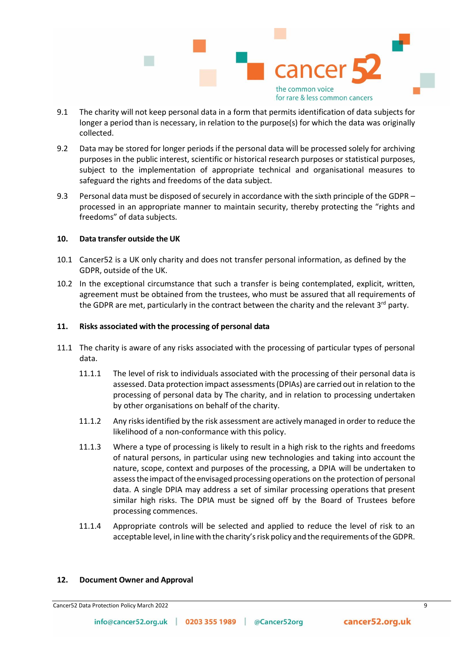

- 9.1 The charity will not keep personal data in a form that permits identification of data subjects for longer a period than is necessary, in relation to the purpose(s) for which the data was originally collected.
- 9.2 Data may be stored for longer periods if the personal data will be processed solely for archiving purposes in the public interest, scientific or historical research purposes or statistical purposes, subject to the implementation of appropriate technical and organisational measures to safeguard the rights and freedoms of the data subject.
- 9.3 Personal data must be disposed of securely in accordance with the sixth principle of the GDPR processed in an appropriate manner to maintain security, thereby protecting the "rights and freedoms" of data subjects.

## **10. Data transfer outside the UK**

- 10.1 Cancer52 is a UK only charity and does not transfer personal information, as defined by the GDPR, outside of the UK.
- 10.2 In the exceptional circumstance that such a transfer is being contemplated, explicit, written, agreement must be obtained from the trustees, who must be assured that all requirements of the GDPR are met, particularly in the contract between the charity and the relevant  $3^{rd}$  party.

## **11. Risks associated with the processing of personal data**

- 11.1 The charity is aware of any risks associated with the processing of particular types of personal data.
	- 11.1.1 The level of risk to individuals associated with the processing of their personal data is assessed. Data protection impact assessments(DPIAs) are carried out in relation to the processing of personal data by The charity, and in relation to processing undertaken by other organisations on behalf of the charity.
	- 11.1.2 Any risks identified by the risk assessment are actively managed in order to reduce the likelihood of a non-conformance with this policy.
	- 11.1.3 Where a type of processing is likely to result in a high risk to the rights and freedoms of natural persons, in particular using new technologies and taking into account the nature, scope, context and purposes of the processing, a DPIA will be undertaken to assessthe impact oftheenvisaged processingoperations on the protection of personal data. A single DPIA may address a set of similar processing operations that present similar high risks. The DPIA must be signed off by the Board of Trustees before processing commences.
	- 11.1.4 Appropriate controls will be selected and applied to reduce the level of risk to an acceptable level, in line with the charity'srisk policy and the requirements of the GDPR.

#### **12. Document Owner and Approval**

Cancer52 Data Protection Policy March 2022 9